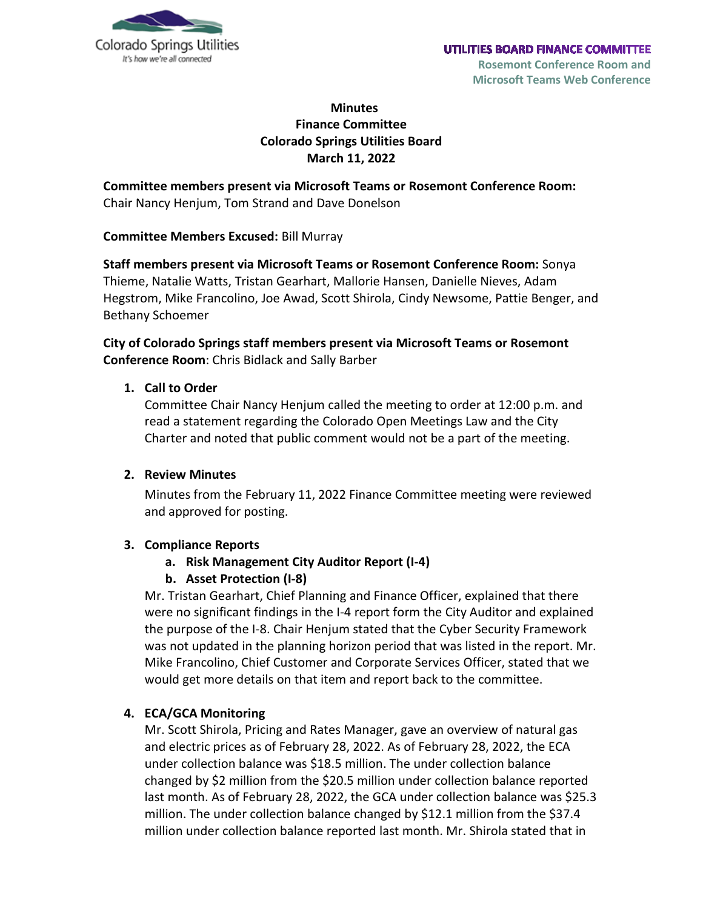

# **Minutes Finance Committee Colorado Springs Utilities Board March 11, 2022**

**Committee members present via Microsoft Teams or Rosemont Conference Room:** Chair Nancy Henjum, Tom Strand and Dave Donelson

**Committee Members Excused:** Bill Murray

**Staff members present via Microsoft Teams or Rosemont Conference Room:** Sonya Thieme, Natalie Watts, Tristan Gearhart, Mallorie Hansen, Danielle Nieves, Adam Hegstrom, Mike Francolino, Joe Awad, Scott Shirola, Cindy Newsome, Pattie Benger, and Bethany Schoemer

**City of Colorado Springs staff members present via Microsoft Teams or Rosemont Conference Room**: Chris Bidlack and Sally Barber

### **1. Call to Order**

Committee Chair Nancy Henjum called the meeting to order at 12:00 p.m. and read a statement regarding the Colorado Open Meetings Law and the City Charter and noted that public comment would not be a part of the meeting.

#### **2. Review Minutes**

Minutes from the February 11, 2022 Finance Committee meeting were reviewed and approved for posting.

#### **3. Compliance Reports**

### **a. Risk Management City Auditor Report (I-4)**

#### **b. Asset Protection (I-8)**

Mr. Tristan Gearhart, Chief Planning and Finance Officer, explained that there were no significant findings in the I-4 report form the City Auditor and explained the purpose of the I-8. Chair Henjum stated that the Cyber Security Framework was not updated in the planning horizon period that was listed in the report. Mr. Mike Francolino, Chief Customer and Corporate Services Officer, stated that we would get more details on that item and report back to the committee.

### **4. ECA/GCA Monitoring**

Mr. Scott Shirola, Pricing and Rates Manager, gave an overview of natural gas and electric prices as of February 28, 2022. As of February 28, 2022, the ECA under collection balance was \$18.5 million. The under collection balance changed by \$2 million from the \$20.5 million under collection balance reported last month. As of February 28, 2022, the GCA under collection balance was \$25.3 million. The under collection balance changed by \$12.1 million from the \$37.4 million under collection balance reported last month. Mr. Shirola stated that in